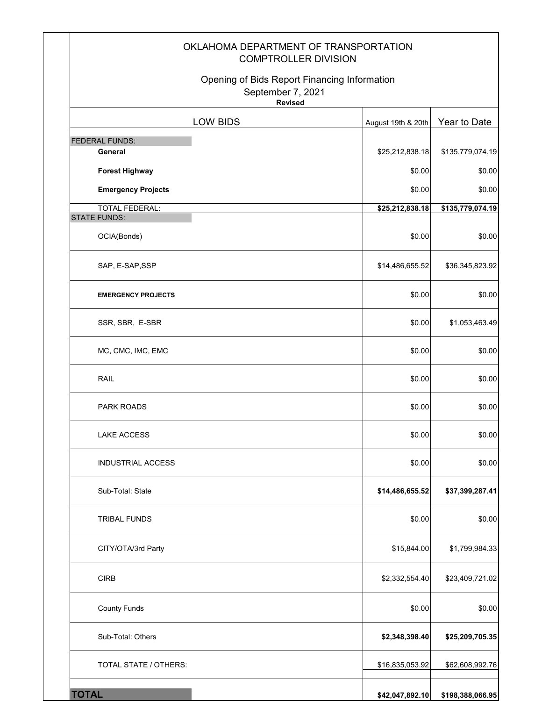|                                                    | OKLAHOMA DEPARTMENT OF TRANSPORTATION<br><b>COMPTROLLER DIVISION</b> |                  |
|----------------------------------------------------|----------------------------------------------------------------------|------------------|
| September 7, 2021<br><b>Revised</b>                | Opening of Bids Report Financing Information                         |                  |
| LOW BIDS                                           | August 19th & 20th                                                   | Year to Date     |
| FEDERAL FUNDS:                                     |                                                                      |                  |
| General                                            | \$25,212,838.18                                                      | \$135,779,074.19 |
| <b>Forest Highway</b><br><b>Emergency Projects</b> | \$0.00<br>\$0.00                                                     | \$0.00<br>\$0.00 |
| <b>TOTAL FEDERAL:</b>                              | \$25,212,838.18                                                      | \$135,779,074.19 |
| <b>STATE FUNDS:</b>                                |                                                                      |                  |
| OCIA(Bonds)                                        | \$0.00                                                               | \$0.00           |
| SAP, E-SAP, SSP                                    | \$14,486,655.52                                                      | \$36,345,823.92  |
| <b>EMERGENCY PROJECTS</b>                          | \$0.00                                                               | \$0.00           |
| SSR, SBR, E-SBR                                    | \$0.00                                                               | \$1,053,463.49   |
| MC, CMC, IMC, EMC                                  | \$0.00                                                               | \$0.00           |
| <b>RAIL</b>                                        | \$0.00                                                               | \$0.00           |
| <b>PARK ROADS</b>                                  | \$0.00                                                               | \$0.00           |
| <b>LAKE ACCESS</b>                                 | \$0.00                                                               | \$0.00           |
| <b>INDUSTRIAL ACCESS</b>                           | \$0.00                                                               | \$0.00           |
| Sub-Total: State                                   | \$14,486,655.52                                                      | \$37,399,287.41  |
| <b>TRIBAL FUNDS</b>                                | \$0.00                                                               | \$0.00           |
| CITY/OTA/3rd Party                                 | \$15,844.00                                                          | \$1,799,984.33   |
| <b>CIRB</b>                                        | \$2,332,554.40                                                       | \$23,409,721.02  |
| <b>County Funds</b>                                | \$0.00                                                               | \$0.00           |
| Sub-Total: Others                                  | \$2,348,398.40                                                       | \$25,209,705.35  |
| TOTAL STATE / OTHERS:                              | \$16,835,053.92                                                      | \$62,608,992.76  |
| <b>TOTAL</b>                                       | \$42,047,892.10                                                      | \$198,388,066.95 |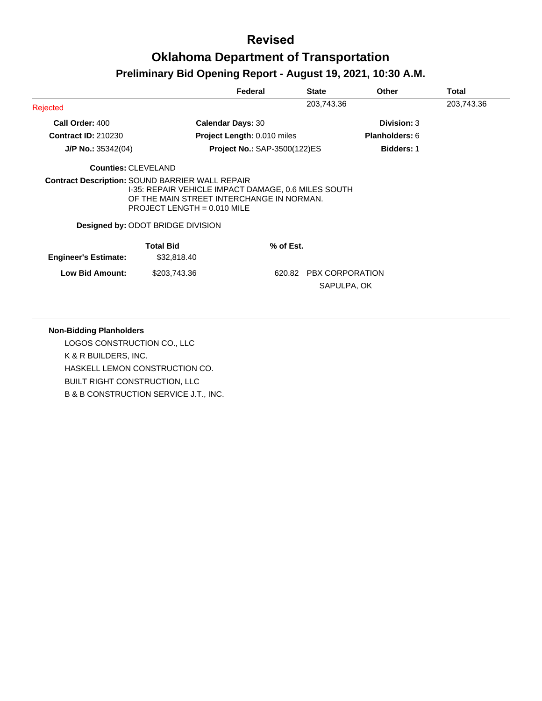|                                                        |                                                                                                                                   | Federal                             | <b>State</b> | Other                 | Total      |
|--------------------------------------------------------|-----------------------------------------------------------------------------------------------------------------------------------|-------------------------------------|--------------|-----------------------|------------|
| Rejected                                               |                                                                                                                                   |                                     | 203,743.36   |                       | 203,743.36 |
| Call Order: 400                                        |                                                                                                                                   | <b>Calendar Days: 30</b>            |              | <b>Division: 3</b>    |            |
| <b>Contract ID: 210230</b>                             |                                                                                                                                   | <b>Project Length: 0.010 miles</b>  |              | <b>Planholders: 6</b> |            |
| $J/P$ No.: 35342(04)                                   |                                                                                                                                   | <b>Project No.: SAP-3500(122)ES</b> |              | <b>Bidders: 1</b>     |            |
| <b>Counties: CLEVELAND</b>                             |                                                                                                                                   |                                     |              |                       |            |
| <b>Contract Description: SOUND BARRIER WALL REPAIR</b> | I-35: REPAIR VEHICLE IMPACT DAMAGE, 0.6 MILES SOUTH<br>OF THE MAIN STREET INTERCHANGE IN NORMAN.<br>PROJECT LENGTH = $0.010$ MILE |                                     |              |                       |            |
|                                                        | Designed by: ODOT BRIDGE DIVISION                                                                                                 |                                     |              |                       |            |
| <b>Engineer's Estimate:</b>                            | <b>Total Bid</b><br>\$32,818.40                                                                                                   | % of Est.                           |              |                       |            |
| <b>Low Bid Amount:</b>                                 | \$203,743.36                                                                                                                      | 620.82                              |              | PBX CORPORATION       |            |

#### **Non-Bidding Planholders**

LOGOS CONSTRUCTION CO., LLC K & R BUILDERS, INC. HASKELL LEMON CONSTRUCTION CO. BUILT RIGHT CONSTRUCTION, LLC B & B CONSTRUCTION SERVICE J.T., INC.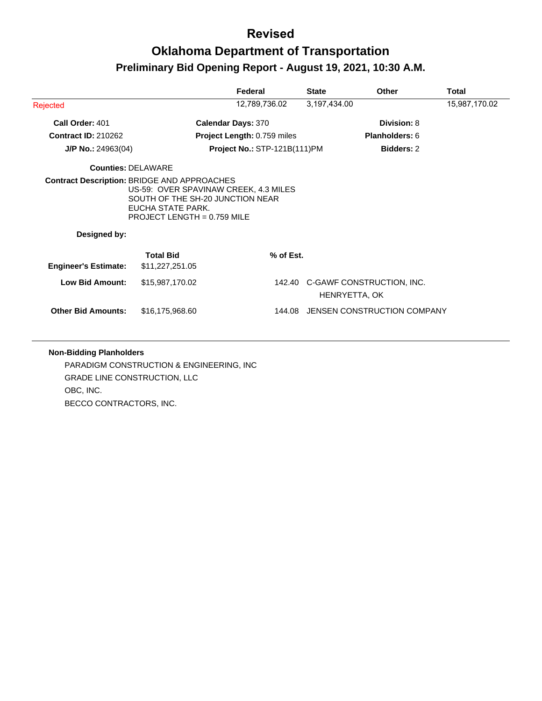# **Oklahoma Department of Transportation Preliminary Bid Opening Report - August 19, 2021, 10:30 A.M.**

|                             |                                                                                                                                                                                       | Federal                             | <b>State</b>  | Other                            | Total         |
|-----------------------------|---------------------------------------------------------------------------------------------------------------------------------------------------------------------------------------|-------------------------------------|---------------|----------------------------------|---------------|
| Rejected                    |                                                                                                                                                                                       | 12,789,736.02                       | 3,197,434.00  |                                  | 15,987,170.02 |
| Call Order: 401             |                                                                                                                                                                                       | <b>Calendar Days: 370</b>           |               | Division: 8                      |               |
| <b>Contract ID: 210262</b>  |                                                                                                                                                                                       | <b>Project Length: 0.759 miles</b>  |               | <b>Planholders: 6</b>            |               |
| $J/P$ No.: 24963(04)        |                                                                                                                                                                                       | <b>Project No.: STP-121B(111)PM</b> |               | <b>Bidders: 2</b>                |               |
| <b>Counties: DELAWARE</b>   |                                                                                                                                                                                       |                                     |               |                                  |               |
| Designed by:                | <b>Contract Description: BRIDGE AND APPROACHES</b><br>US-59: OVER SPAVINAW CREEK, 4.3 MILES<br>SOUTH OF THE SH-20 JUNCTION NEAR<br>EUCHA STATE PARK.<br>PROJECT LENGTH = $0.759$ MILE |                                     |               |                                  |               |
|                             | <b>Total Bid</b>                                                                                                                                                                      | % of Est.                           |               |                                  |               |
| <b>Engineer's Estimate:</b> | \$11,227,251.05                                                                                                                                                                       |                                     |               |                                  |               |
| <b>Low Bid Amount:</b>      | \$15,987,170.02                                                                                                                                                                       |                                     | HENRYETTA, OK | 142.40 C-GAWF CONSTRUCTION, INC. |               |
| <b>Other Bid Amounts:</b>   | \$16,175,968.60                                                                                                                                                                       | 144.08                              |               | JENSEN CONSTRUCTION COMPANY      |               |

#### **Non-Bidding Planholders**

PARADIGM CONSTRUCTION & ENGINEERING, INC GRADE LINE CONSTRUCTION, LLC OBC, INC. BECCO CONTRACTORS, INC.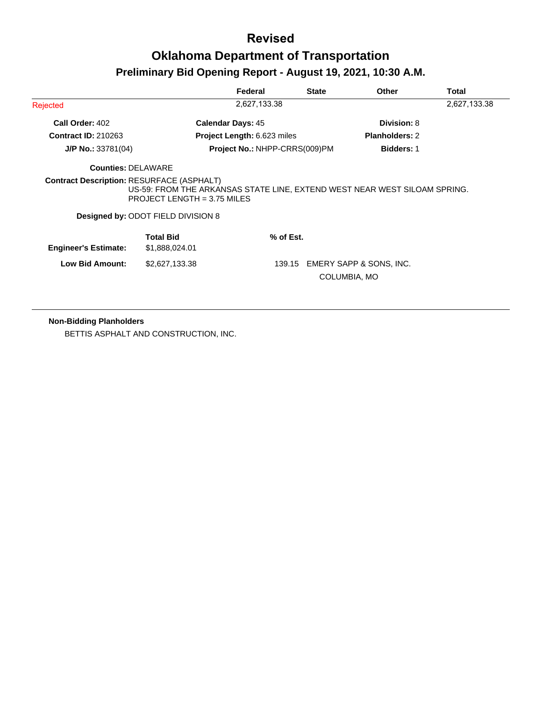# **Revised Oklahoma Department of Transportation**

### **Preliminary Bid Opening Report - August 19, 2021, 10:30 A.M.**

|                                    | Federal                   | <b>State</b>                                                                                                                                               | <b>Other</b>                                                                                 | Total                                                                                                                |
|------------------------------------|---------------------------|------------------------------------------------------------------------------------------------------------------------------------------------------------|----------------------------------------------------------------------------------------------|----------------------------------------------------------------------------------------------------------------------|
|                                    | 2,627,133.38              |                                                                                                                                                            |                                                                                              | 2,627,133.38                                                                                                         |
|                                    |                           |                                                                                                                                                            | Division: 8                                                                                  |                                                                                                                      |
|                                    |                           |                                                                                                                                                            | <b>Planholders: 2</b>                                                                        |                                                                                                                      |
|                                    |                           |                                                                                                                                                            | <b>Bidders: 1</b>                                                                            |                                                                                                                      |
|                                    |                           |                                                                                                                                                            |                                                                                              |                                                                                                                      |
|                                    |                           |                                                                                                                                                            |                                                                                              |                                                                                                                      |
| <b>Total Bid</b><br>\$1,888,024.01 |                           |                                                                                                                                                            |                                                                                              |                                                                                                                      |
| \$2,627,133.38                     |                           |                                                                                                                                                            |                                                                                              |                                                                                                                      |
|                                    | <b>Counties: DELAWARE</b> | <b>Calendar Days: 45</b><br><b>Contract Description: RESURFACE (ASPHALT)</b><br>PROJECT LENGTH = $3.75$ MILES<br><b>Designed by: ODOT FIELD DIVISION 8</b> | <b>Project Length: 6.623 miles</b><br>Project No.: NHPP-CRRS(009)PM<br>$%$ of Est.<br>139.15 | US-59: FROM THE ARKANSAS STATE LINE, EXTEND WEST NEAR WEST SILOAM SPRING.<br>EMERY SAPP & SONS, INC.<br>COLUMBIA, MO |

**Non-Bidding Planholders**

BETTIS ASPHALT AND CONSTRUCTION, INC.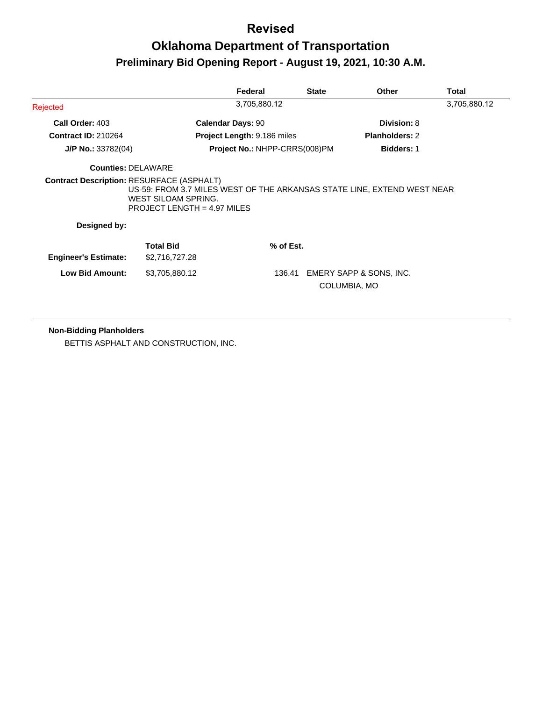# **Oklahoma Department of Transportation Preliminary Bid Opening Report - August 19, 2021, 10:30 A.M.**

|                             |                                                                                                                                      | Federal                            | <b>State</b>            | <b>Other</b>          | Total        |
|-----------------------------|--------------------------------------------------------------------------------------------------------------------------------------|------------------------------------|-------------------------|-----------------------|--------------|
| Rejected                    |                                                                                                                                      | 3,705,880.12                       |                         |                       | 3,705,880.12 |
| Call Order: 403             |                                                                                                                                      | <b>Calendar Days: 90</b>           |                         | Division: 8           |              |
| <b>Contract ID: 210264</b>  |                                                                                                                                      | <b>Project Length: 9.186 miles</b> |                         | <b>Planholders: 2</b> |              |
| $J/P$ No.: 33782(04)        |                                                                                                                                      | Project No.: NHPP-CRRS(008)PM      |                         | <b>Bidders: 1</b>     |              |
| <b>Counties: DELAWARE</b>   |                                                                                                                                      |                                    |                         |                       |              |
|                             | US-59: FROM 3.7 MILES WEST OF THE ARKANSAS STATE LINE, EXTEND WEST NEAR<br>WEST SILOAM SPRING.<br><b>PROJECT LENGTH = 4.97 MILES</b> |                                    |                         |                       |              |
| Designed by:                |                                                                                                                                      |                                    |                         |                       |              |
| <b>Engineer's Estimate:</b> | <b>Total Bid</b><br>\$2,716,727.28                                                                                                   | % of Est.                          |                         |                       |              |
| <b>Low Bid Amount:</b>      | \$3,705,880.12                                                                                                                       | 136.41                             | EMERY SAPP & SONS, INC. |                       |              |

#### **Non-Bidding Planholders**

BETTIS ASPHALT AND CONSTRUCTION, INC.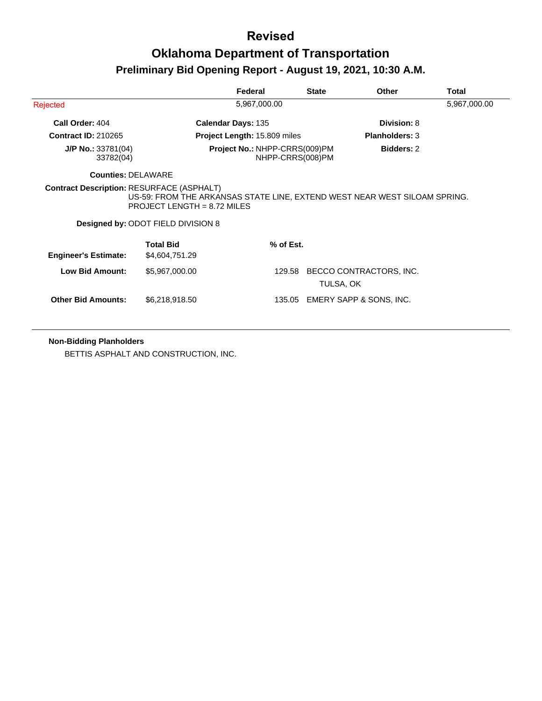|                                                  |                                                                            | Federal                                           | <b>State</b> | Other                                                                     | Total        |
|--------------------------------------------------|----------------------------------------------------------------------------|---------------------------------------------------|--------------|---------------------------------------------------------------------------|--------------|
| Rejected                                         |                                                                            | 5,967,000.00                                      |              |                                                                           | 5,967,000.00 |
| Call Order: 404                                  |                                                                            | Calendar Days: 135                                |              | Division: 8                                                               |              |
| <b>Contract ID: 210265</b>                       |                                                                            | Project Length: 15.809 miles                      |              | <b>Planholders: 3</b>                                                     |              |
| $J/P$ No.: 33781(04)<br>33782(04)                |                                                                            | Project No.: NHPP-CRRS(009)PM<br>NHPP-CRRS(008)PM |              | <b>Bidders: 2</b>                                                         |              |
| <b>Counties: DELAWARE</b>                        |                                                                            |                                                   |              |                                                                           |              |
| <b>Contract Description: RESURFACE (ASPHALT)</b> | PROJECT LENGTH = $8.72$ MILES<br><b>Designed by: ODOT FIELD DIVISION 8</b> |                                                   |              | US-59: FROM THE ARKANSAS STATE LINE, EXTEND WEST NEAR WEST SILOAM SPRING. |              |
|                                                  | <b>Total Bid</b>                                                           | % of Est.                                         |              |                                                                           |              |
| <b>Engineer's Estimate:</b>                      | \$4,604,751.29                                                             |                                                   |              |                                                                           |              |
| <b>Low Bid Amount:</b>                           | \$5,967,000.00                                                             | 129.58                                            | TULSA, OK    | BECCO CONTRACTORS, INC.                                                   |              |
| <b>Other Bid Amounts:</b>                        | \$6,218,918.50                                                             | 135.05                                            |              | EMERY SAPP & SONS, INC.                                                   |              |

**Non-Bidding Planholders**

BETTIS ASPHALT AND CONSTRUCTION, INC.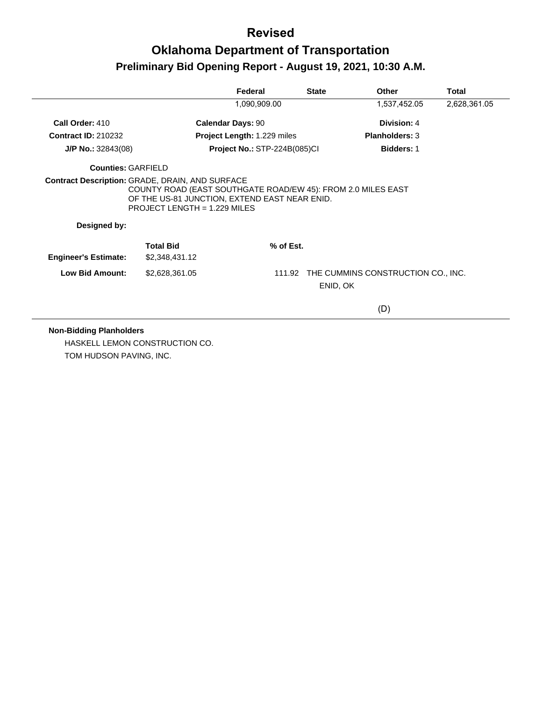# **Oklahoma Department of Transportation Preliminary Bid Opening Report - August 19, 2021, 10:30 A.M.**

|                             |                                                                                                                                                 | Federal                             | <b>State</b> | Other                                     | <b>Total</b> |
|-----------------------------|-------------------------------------------------------------------------------------------------------------------------------------------------|-------------------------------------|--------------|-------------------------------------------|--------------|
|                             |                                                                                                                                                 | 1,090,909.00                        |              | 1,537,452.05                              | 2,628,361.05 |
| Call Order: 410             |                                                                                                                                                 | <b>Calendar Days: 90</b>            |              | Division: 4                               |              |
| <b>Contract ID: 210232</b>  |                                                                                                                                                 | <b>Project Length: 1.229 miles</b>  |              | <b>Planholders: 3</b>                     |              |
| $J/P$ No.: 32843(08)        |                                                                                                                                                 | <b>Project No.: STP-224B(085)CI</b> |              | <b>Bidders: 1</b>                         |              |
| <b>Counties: GARFIELD</b>   |                                                                                                                                                 |                                     |              |                                           |              |
| Designed by:                | COUNTY ROAD (EAST SOUTHGATE ROAD/EW 45): FROM 2.0 MILES EAST<br>OF THE US-81 JUNCTION, EXTEND EAST NEAR ENID.<br>$PROJECT LENGTH = 1.229$ MILES |                                     |              |                                           |              |
| <b>Engineer's Estimate:</b> | <b>Total Bid</b><br>\$2,348,431.12                                                                                                              | $%$ of Est.                         |              |                                           |              |
| <b>Low Bid Amount:</b>      | \$2,628,361.05                                                                                                                                  |                                     | ENID, OK     | 111.92 THE CUMMINS CONSTRUCTION CO., INC. |              |
|                             |                                                                                                                                                 |                                     |              | (D)                                       |              |

#### **Non-Bidding Planholders**

HASKELL LEMON CONSTRUCTION CO. TOM HUDSON PAVING, INC.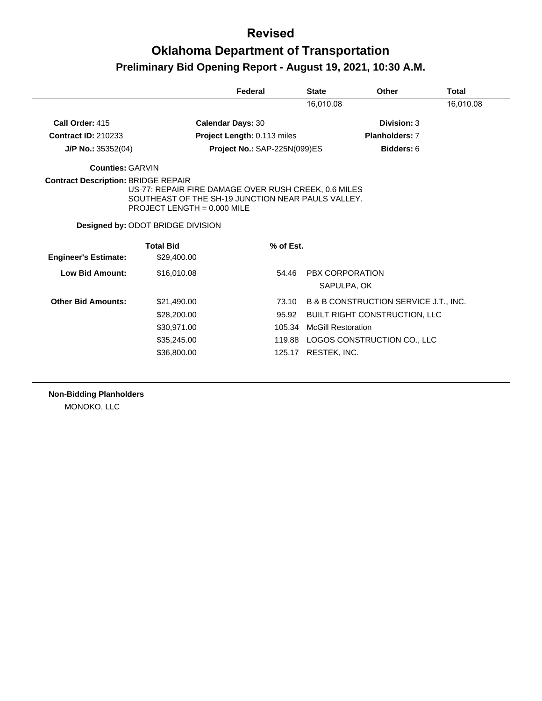# **Oklahoma Department of Transportation Preliminary Bid Opening Report - August 19, 2021, 10:30 A.M.**

|                             |                                                                                                            | Federal                      | <b>State</b>              | Other                                 | Total     |
|-----------------------------|------------------------------------------------------------------------------------------------------------|------------------------------|---------------------------|---------------------------------------|-----------|
|                             |                                                                                                            |                              | 16.010.08                 |                                       | 16.010.08 |
| Call Order: 415             | <b>Calendar Days: 30</b>                                                                                   |                              |                           | Division: 3                           |           |
| <b>Contract ID: 210233</b>  |                                                                                                            | Project Length: 0.113 miles  |                           | <b>Planholders: 7</b>                 |           |
| $J/P$ No.: 35352(04)        |                                                                                                            | Project No.: SAP-225N(099)ES |                           | Bidders: 6                            |           |
| <b>Counties: GARVIN</b>     |                                                                                                            |                              |                           |                                       |           |
|                             | US-77: REPAIR FIRE DAMAGE OVER RUSH CREEK, 0.6 MILES<br>SOUTHEAST OF THE SH-19 JUNCTION NEAR PAULS VALLEY. |                              |                           |                                       |           |
|                             | PROJECT LENGTH = $0.000$ MILE                                                                              |                              |                           |                                       |           |
|                             | <b>Designed by: ODOT BRIDGE DIVISION</b>                                                                   |                              |                           |                                       |           |
|                             | <b>Total Bid</b>                                                                                           | % of Est.                    |                           |                                       |           |
| <b>Engineer's Estimate:</b> | \$29,400.00                                                                                                |                              |                           |                                       |           |
| <b>Low Bid Amount:</b>      | \$16,010.08                                                                                                | 54.46                        | PBX CORPORATION           |                                       |           |
|                             |                                                                                                            |                              | SAPULPA, OK               |                                       |           |
| <b>Other Bid Amounts:</b>   | \$21,490.00                                                                                                | 73.10                        |                           | B & B CONSTRUCTION SERVICE J.T., INC. |           |
|                             | \$28,200.00                                                                                                | 95.92                        |                           | <b>BUILT RIGHT CONSTRUCTION, LLC</b>  |           |
|                             | \$30,971.00                                                                                                | 105.34                       | <b>McGill Restoration</b> |                                       |           |
|                             | \$35,245.00                                                                                                | 119.88                       |                           | LOGOS CONSTRUCTION CO., LLC           |           |

**Non-Bidding Planholders** MONOKO, LLC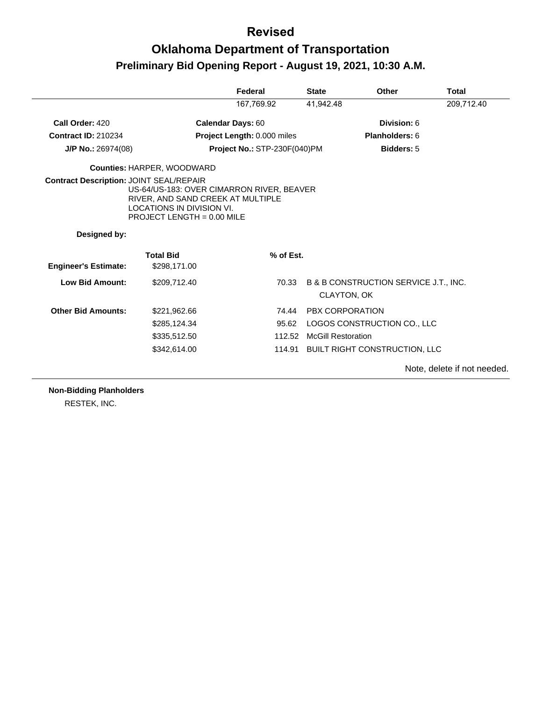# **Oklahoma Department of Transportation Preliminary Bid Opening Report - August 19, 2021, 10:30 A.M.**

|                             |                                                                                                                                                  | Federal                             | <b>State</b>              | <b>Other</b>                          | <b>Total</b> |
|-----------------------------|--------------------------------------------------------------------------------------------------------------------------------------------------|-------------------------------------|---------------------------|---------------------------------------|--------------|
|                             |                                                                                                                                                  | 167,769.92                          | 41,942.48                 |                                       | 209,712.40   |
| Call Order: 420             |                                                                                                                                                  | <b>Calendar Days: 60</b>            |                           | Division: 6                           |              |
| <b>Contract ID: 210234</b>  |                                                                                                                                                  | Project Length: 0.000 miles         |                           | Planholders: 6                        |              |
| $J/P$ No.: 26974(08)        |                                                                                                                                                  | <b>Project No.: STP-230F(040)PM</b> |                           | <b>Bidders: 5</b>                     |              |
|                             | <b>Counties: HARPER, WOODWARD</b>                                                                                                                |                                     |                           |                                       |              |
|                             | US-64/US-183: OVER CIMARRON RIVER, BEAVER<br>RIVER, AND SAND CREEK AT MULTIPLE<br>LOCATIONS IN DIVISION VI.<br><b>PROJECT LENGTH = 0.00 MILE</b> |                                     |                           |                                       |              |
| Designed by:                |                                                                                                                                                  |                                     |                           |                                       |              |
|                             | <b>Total Bid</b>                                                                                                                                 | % of Est.                           |                           |                                       |              |
| <b>Engineer's Estimate:</b> | \$298,171.00                                                                                                                                     |                                     |                           |                                       |              |
| <b>Low Bid Amount:</b>      | \$209,712.40                                                                                                                                     | 70.33                               | CLAYTON, OK               | B & B CONSTRUCTION SERVICE J.T., INC. |              |
| <b>Other Bid Amounts:</b>   | \$221,962.66                                                                                                                                     | 74.44                               | <b>PBX CORPORATION</b>    |                                       |              |
|                             | \$285,124.34                                                                                                                                     | 95.62                               |                           | LOGOS CONSTRUCTION CO., LLC           |              |
|                             | \$335,512.50                                                                                                                                     |                                     | 112.52 McGill Restoration |                                       |              |
|                             | \$342,614.00                                                                                                                                     |                                     |                           | 114.91 BUILT RIGHT CONSTRUCTION, LLC  |              |
|                             |                                                                                                                                                  |                                     |                           |                                       |              |

**Non-Bidding Planholders**

RESTEK, INC.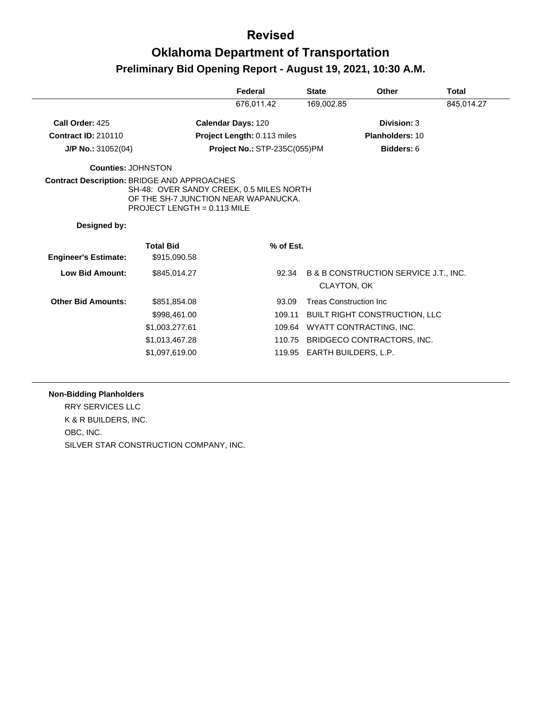# **Oklahoma Department of Transportation Preliminary Bid Opening Report - August 19, 2021, 10:30 A.M.**

|                                                    |                                                                                                                   | Federal                             | <b>State</b> | Other                                                | <b>Total</b> |
|----------------------------------------------------|-------------------------------------------------------------------------------------------------------------------|-------------------------------------|--------------|------------------------------------------------------|--------------|
|                                                    |                                                                                                                   | 676,011.42                          | 169,002.85   |                                                      | 845,014.27   |
| Call Order: 425                                    |                                                                                                                   | Calendar Days: 120                  |              | Division: 3                                          |              |
| <b>Contract ID: 210110</b>                         |                                                                                                                   | Project Length: 0.113 miles         |              | Planholders: 10                                      |              |
| $J/P$ No.: 31052(04)                               |                                                                                                                   | <b>Project No.: STP-235C(055)PM</b> |              | Bidders: 6                                           |              |
| Counties: JOHNSTON                                 |                                                                                                                   |                                     |              |                                                      |              |
| <b>Contract Description: BRIDGE AND APPROACHES</b> | SH-48: OVER SANDY CREEK, 0.5 MILES NORTH<br>OF THE SH-7 JUNCTION NEAR WAPANUCKA.<br>PROJECT LENGTH = $0.113$ MILE |                                     |              |                                                      |              |
| Designed by:                                       |                                                                                                                   |                                     |              |                                                      |              |
| <b>Engineer's Estimate:</b>                        | <b>Total Bid</b><br>\$915,090.58                                                                                  | % of Est.                           |              |                                                      |              |
| <b>Low Bid Amount:</b>                             | \$845.014.27                                                                                                      | 92.34                               |              | B & B CONSTRUCTION SERVICE J.T., INC.<br>CLAYTON, OK |              |
| <b>Other Bid Amounts:</b>                          | \$851,854.08                                                                                                      | 93.09                               |              | <b>Treas Construction Inc.</b>                       |              |
|                                                    | \$998,461.00                                                                                                      | 109.11                              |              | <b>BUILT RIGHT CONSTRUCTION, LLC</b>                 |              |
|                                                    | \$1,003,277.61                                                                                                    | 109.64                              |              | WYATT CONTRACTING, INC.                              |              |
|                                                    | \$1,013,467.28                                                                                                    | 110.75                              |              | BRIDGECO CONTRACTORS, INC.                           |              |
|                                                    | \$1,097,619.00                                                                                                    | 119.95                              |              | EARTH BUILDERS, L.P.                                 |              |

#### **Non-Bidding Planholders**

RRY SERVICES LLC K & R BUILDERS, INC. OBC, INC. SILVER STAR CONSTRUCTION COMPANY, INC.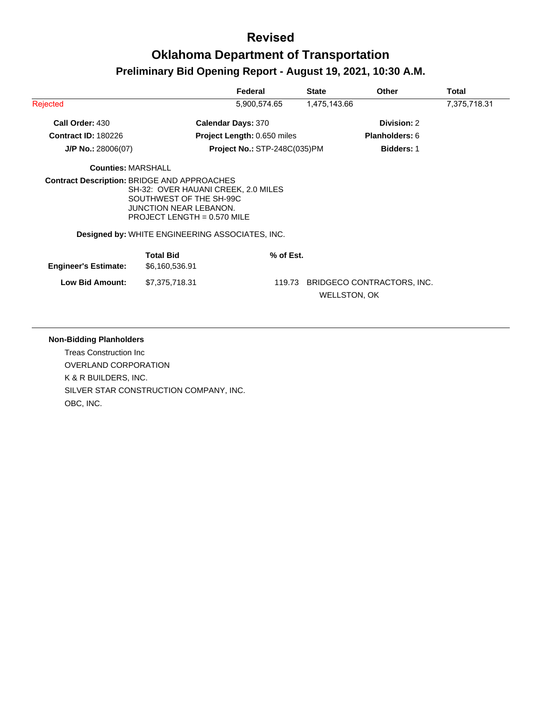|                                                    |                                                                                                                                  | Federal                      | <b>State</b> | Other                                             | Total        |
|----------------------------------------------------|----------------------------------------------------------------------------------------------------------------------------------|------------------------------|--------------|---------------------------------------------------|--------------|
| Rejected                                           |                                                                                                                                  | 5,900,574.65                 | 1,475,143.66 |                                                   | 7,375,718.31 |
| Call Order: 430                                    |                                                                                                                                  | <b>Calendar Days: 370</b>    |              | Division: 2                                       |              |
| <b>Contract ID: 180226</b>                         |                                                                                                                                  | Project Length: 0.650 miles  |              | <b>Planholders: 6</b>                             |              |
| $J/P$ No.: 28006(07)                               |                                                                                                                                  | Project No.: STP-248C(035)PM |              | <b>Bidders: 1</b>                                 |              |
| <b>Counties: MARSHALL</b>                          |                                                                                                                                  |                              |              |                                                   |              |
| <b>Contract Description: BRIDGE AND APPROACHES</b> | SH-32: OVER HAUANI CREEK, 2.0 MILES<br>SOUTHWEST OF THE SH-99C<br><b>JUNCTION NEAR LEBANON.</b><br>PROJECT LENGTH = $0.570$ MILE |                              |              |                                                   |              |
|                                                    | Designed by: WHITE ENGINEERING ASSOCIATES, INC.                                                                                  |                              |              |                                                   |              |
| <b>Engineer's Estimate:</b>                        | <b>Total Bid</b><br>\$6,160,536.91                                                                                               | % of Est.                    |              |                                                   |              |
| <b>Low Bid Amount:</b>                             | \$7,375,718.31                                                                                                                   | 119.73                       |              | BRIDGECO CONTRACTORS, INC.<br><b>WELLSTON, OK</b> |              |

#### **Non-Bidding Planholders**

Treas Construction Inc OVERLAND CORPORATION K & R BUILDERS, INC. SILVER STAR CONSTRUCTION COMPANY, INC. OBC, INC.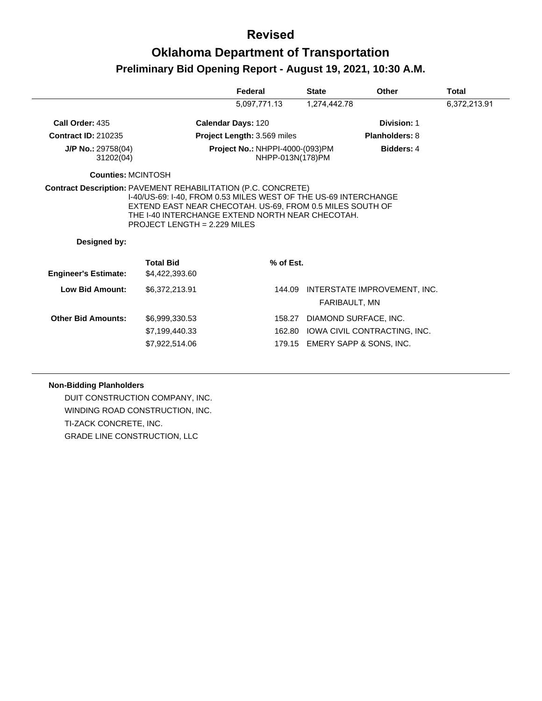# **Oklahoma Department of Transportation Preliminary Bid Opening Report - August 19, 2021, 10:30 A.M.**

|                                   |                                                                                                                              | Federal                                                    | <b>State</b> | Other                                         | Total        |
|-----------------------------------|------------------------------------------------------------------------------------------------------------------------------|------------------------------------------------------------|--------------|-----------------------------------------------|--------------|
|                                   |                                                                                                                              | 5,097,771.13                                               | 1,274,442.78 |                                               | 6,372,213.91 |
| Call Order: 435                   |                                                                                                                              | <b>Calendar Days: 120</b>                                  |              | Division: 1                                   |              |
| <b>Contract ID: 210235</b>        |                                                                                                                              | Project Length: 3.569 miles                                |              | <b>Planholders: 8</b>                         |              |
| $J/P$ No.: 29758(04)<br>31202(04) |                                                                                                                              | <b>Project No.: NHPPI-4000-(093)PM</b><br>NHPP-013N(178)PM |              | <b>Bidders: 4</b>                             |              |
| Counties: MCINTOSH                |                                                                                                                              |                                                            |              |                                               |              |
|                                   | I-40/US-69: I-40, FROM 0.53 MILES WEST OF THE US-69 INTERCHANGE<br>EXTEND EAST NEAR CHECOTAH. US-69, FROM 0.5 MILES SOUTH OF |                                                            |              |                                               |              |
| Designed by:                      | THE I-40 INTERCHANGE EXTEND NORTH NEAR CHECOTAH.<br>PROJECT LENGTH = 2.229 MILES                                             |                                                            |              |                                               |              |
|                                   | <b>Total Bid</b>                                                                                                             | % of Est.                                                  |              |                                               |              |
| <b>Engineer's Estimate:</b>       | \$4,422,393.60                                                                                                               |                                                            |              |                                               |              |
| Low Bid Amount:                   | \$6,372,213.91                                                                                                               | 144.09                                                     |              | INTERSTATE IMPROVEMENT, INC.<br>FARIBAULT, MN |              |
| <b>Other Bid Amounts:</b>         | \$6,999,330,53                                                                                                               | 158.27                                                     |              | DIAMOND SURFACE, INC.                         |              |
|                                   | \$7,199,440.33                                                                                                               |                                                            |              | 162.80 IOWA CIVIL CONTRACTING, INC.           |              |

#### **Non-Bidding Planholders**

DUIT CONSTRUCTION COMPANY, INC. WINDING ROAD CONSTRUCTION, INC. TI-ZACK CONCRETE, INC. GRADE LINE CONSTRUCTION, LLC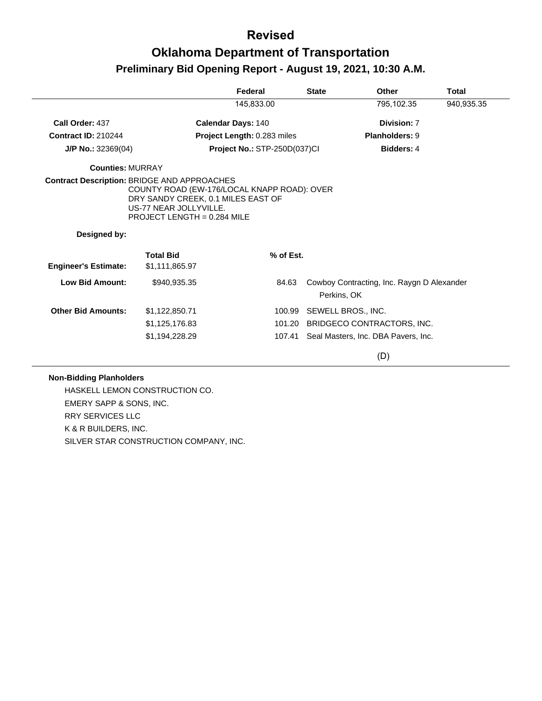# **Oklahoma Department of Transportation Preliminary Bid Opening Report - August 19, 2021, 10:30 A.M.**

|                                                                    |                                                                                                                                              | Federal                      | <b>State</b> | Other                                                     | <b>Total</b> |
|--------------------------------------------------------------------|----------------------------------------------------------------------------------------------------------------------------------------------|------------------------------|--------------|-----------------------------------------------------------|--------------|
|                                                                    |                                                                                                                                              | 145,833.00                   |              | 795,102.35                                                | 940,935.35   |
| Call Order: 437                                                    |                                                                                                                                              | Calendar Days: 140           |              | Division: 7                                               |              |
| <b>Contract ID: 210244</b>                                         |                                                                                                                                              | Project Length: 0.283 miles  |              | <b>Planholders: 9</b>                                     |              |
| $J/P$ No.: 32369(04)                                               |                                                                                                                                              | Project No.: STP-250D(037)Cl |              | <b>Bidders: 4</b>                                         |              |
| <b>Counties: MURRAY</b>                                            |                                                                                                                                              |                              |              |                                                           |              |
| <b>Contract Description: BRIDGE AND APPROACHES</b><br>Designed by: | COUNTY ROAD (EW-176/LOCAL KNAPP ROAD): OVER<br>DRY SANDY CREEK, 0.1 MILES EAST OF<br>US-77 NEAR JOLLYVILLE.<br>PROJECT LENGTH = $0.284$ MILE |                              |              |                                                           |              |
|                                                                    |                                                                                                                                              |                              |              |                                                           |              |
| <b>Engineer's Estimate:</b>                                        | <b>Total Bid</b><br>\$1,111,865.97                                                                                                           | % of Est.                    |              |                                                           |              |
| <b>Low Bid Amount:</b>                                             | \$940,935.35                                                                                                                                 | 84.63                        |              | Cowboy Contracting, Inc. Raygn D Alexander<br>Perkins, OK |              |
| <b>Other Bid Amounts:</b>                                          | \$1,122,850.71                                                                                                                               | 100.99                       |              | SEWELL BROS., INC.                                        |              |
|                                                                    | \$1,125,176.83                                                                                                                               | 101.20                       |              | BRIDGECO CONTRACTORS, INC.                                |              |
|                                                                    | \$1,194,228.29                                                                                                                               | 107.41                       |              | Seal Masters, Inc. DBA Pavers, Inc.                       |              |
|                                                                    |                                                                                                                                              |                              |              | (D)                                                       |              |

#### **Non-Bidding Planholders**

HASKELL LEMON CONSTRUCTION CO. EMERY SAPP & SONS, INC. RRY SERVICES LLC K & R BUILDERS, INC. SILVER STAR CONSTRUCTION COMPANY, INC.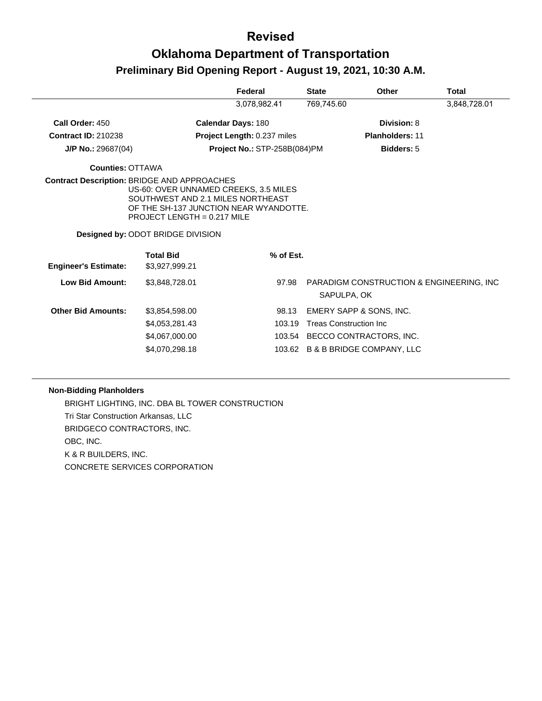|                                                    |                                                                                                                                                       | Federal                      | <b>State</b>                   | <b>Other</b>                     | <b>Total</b>                              |
|----------------------------------------------------|-------------------------------------------------------------------------------------------------------------------------------------------------------|------------------------------|--------------------------------|----------------------------------|-------------------------------------------|
|                                                    |                                                                                                                                                       | 3,078,982.41                 | 769,745.60                     |                                  | 3,848,728.01                              |
| Call Order: 450                                    |                                                                                                                                                       | <b>Calendar Days: 180</b>    |                                | Division: 8                      |                                           |
| <b>Contract ID: 210238</b>                         |                                                                                                                                                       | Project Length: 0.237 miles  |                                | <b>Planholders: 11</b>           |                                           |
| $J/P$ No.: 29687(04)                               |                                                                                                                                                       | Project No.: STP-258B(084)PM |                                | <b>Bidders: 5</b>                |                                           |
| <b>Counties: OTTAWA</b>                            |                                                                                                                                                       |                              |                                |                                  |                                           |
| <b>Contract Description: BRIDGE AND APPROACHES</b> | US-60: OVER UNNAMED CREEKS, 3.5 MILES<br>SOUTHWEST AND 2.1 MILES NORTHEAST<br>OF THE SH-137 JUNCTION NEAR WYANDOTTE.<br>PROJECT LENGTH = $0.217$ MILE |                              |                                |                                  |                                           |
|                                                    | Designed by: ODOT BRIDGE DIVISION                                                                                                                     |                              |                                |                                  |                                           |
| <b>Engineer's Estimate:</b>                        | <b>Total Bid</b><br>\$3,927,999.21                                                                                                                    | % of Est.                    |                                |                                  |                                           |
| Low Bid Amount:                                    | \$3,848,728.01                                                                                                                                        | 97.98                        | SAPULPA, OK                    |                                  | PARADIGM CONSTRUCTION & ENGINEERING, INC. |
| <b>Other Bid Amounts:</b>                          | \$3,854,598.00                                                                                                                                        | 98.13                        |                                | EMERY SAPP & SONS, INC.          |                                           |
|                                                    | \$4,053,281.43                                                                                                                                        | 103.19                       | <b>Treas Construction Inc.</b> |                                  |                                           |
|                                                    | \$4,067,000.00                                                                                                                                        |                              |                                | 103.54 BECCO CONTRACTORS, INC.   |                                           |
|                                                    | \$4,070,298.18                                                                                                                                        |                              |                                | 103.62 B & B BRIDGE COMPANY, LLC |                                           |

#### **Non-Bidding Planholders**

BRIGHT LIGHTING, INC. DBA BL TOWER CONSTRUCTION Tri Star Construction Arkansas, LLC BRIDGECO CONTRACTORS, INC. OBC, INC. K & R BUILDERS, INC. CONCRETE SERVICES CORPORATION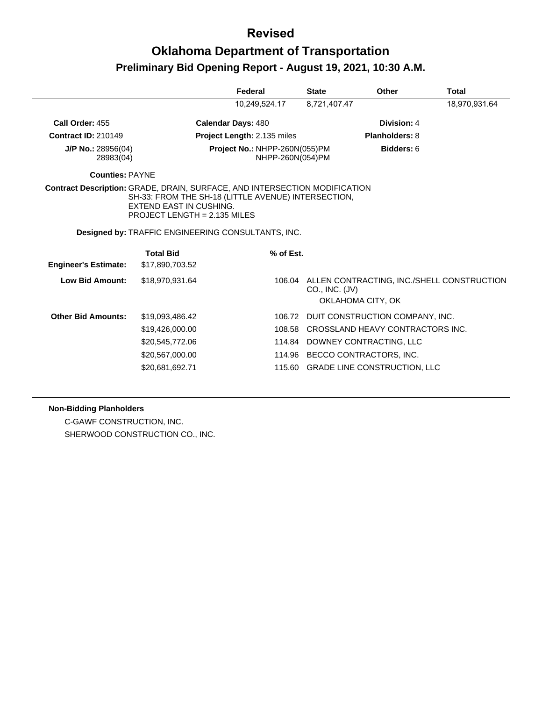# **Oklahoma Department of Transportation Preliminary Bid Opening Report - August 19, 2021, 10:30 A.M.**

|                                                                                   |                                                                | Federal                                                   | <b>State</b>     | Other                                                           | <b>Total</b>  |
|-----------------------------------------------------------------------------------|----------------------------------------------------------------|-----------------------------------------------------------|------------------|-----------------------------------------------------------------|---------------|
|                                                                                   |                                                                | 10,249,524.17                                             | 8,721,407.47     |                                                                 | 18,970,931.64 |
| Call Order: 455                                                                   |                                                                | <b>Calendar Days: 480</b>                                 |                  | Division: 4                                                     |               |
| <b>Contract ID: 210149</b>                                                        |                                                                | Project Length: 2.135 miles                               |                  | <b>Planholders: 8</b>                                           |               |
| $J/P$ No.: 28956(04)<br>28983(04)                                                 |                                                                | Project No.: NHPP-260N(055)PM                             | NHPP-260N(054)PM | Bidders: 6                                                      |               |
| <b>Counties: PAYNE</b>                                                            |                                                                |                                                           |                  |                                                                 |               |
| <b>Contract Description: GRADE, DRAIN, SURFACE, AND INTERSECTION MODIFICATION</b> | <b>EXTEND EAST IN CUSHING.</b><br>PROJECT LENGTH = 2.135 MILES | SH-33: FROM THE SH-18 (LITTLE AVENUE) INTERSECTION,       |                  |                                                                 |               |
|                                                                                   |                                                                | <b>Designed by: TRAFFIC ENGINEERING CONSULTANTS, INC.</b> |                  |                                                                 |               |
| <b>Engineer's Estimate:</b>                                                       | <b>Total Bid</b><br>\$17,890,703.52                            | % of Est.                                                 |                  |                                                                 |               |
| <b>Low Bid Amount:</b>                                                            | \$18,970,931.64                                                | 106.04                                                    | CO., INC. (JV)   | ALLEN CONTRACTING, INC./SHELL CONSTRUCTION<br>OKLAHOMA CITY, OK |               |
| <b>Other Bid Amounts:</b>                                                         | \$19,093,486.42                                                | 106.72                                                    |                  | DUIT CONSTRUCTION COMPANY, INC.                                 |               |
|                                                                                   | \$19,426,000.00                                                | 108.58                                                    |                  | CROSSLAND HEAVY CONTRACTORS INC.                                |               |
|                                                                                   | \$20,545,772.06                                                |                                                           |                  | 114.84 DOWNEY CONTRACTING, LLC                                  |               |
|                                                                                   | \$20,567,000.00                                                | 114.96                                                    |                  | BECCO CONTRACTORS, INC.                                         |               |
|                                                                                   | \$20,681,692.71                                                |                                                           |                  | 115.60 GRADE LINE CONSTRUCTION, LLC                             |               |
|                                                                                   |                                                                |                                                           |                  |                                                                 |               |

**Non-Bidding Planholders**

C-GAWF CONSTRUCTION, INC. SHERWOOD CONSTRUCTION CO., INC.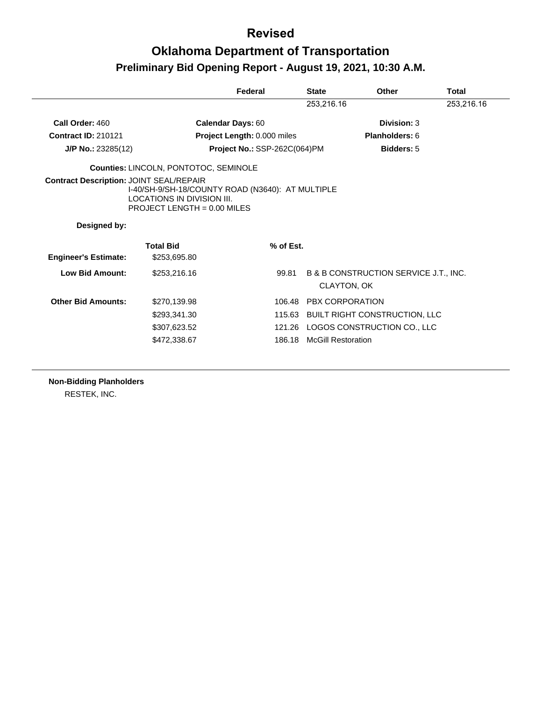# **Oklahoma Department of Transportation Preliminary Bid Opening Report - August 19, 2021, 10:30 A.M.**

|                                                |                                                                                                                 | Federal                      | <b>State</b>    | Other                                                | Total      |
|------------------------------------------------|-----------------------------------------------------------------------------------------------------------------|------------------------------|-----------------|------------------------------------------------------|------------|
|                                                |                                                                                                                 |                              | 253,216.16      |                                                      | 253,216.16 |
| Call Order: 460                                | Calendar Days: 60                                                                                               |                              |                 | Division: 3                                          |            |
| <b>Contract ID: 210121</b>                     |                                                                                                                 | Project Length: 0.000 miles  |                 | Planholders: 6                                       |            |
| J/P No.: 23285(12)                             |                                                                                                                 | Project No.: SSP-262C(064)PM |                 | <b>Bidders: 5</b>                                    |            |
|                                                | Counties: LINCOLN, PONTOTOC, SEMINOLE                                                                           |                              |                 |                                                      |            |
| <b>Contract Description: JOINT SEAL/REPAIR</b> | I-40/SH-9/SH-18/COUNTY ROAD (N3640): AT MULTIPLE<br>LOCATIONS IN DIVISION III.<br>PROJECT LENGTH = $0.00$ MILES |                              |                 |                                                      |            |
| Designed by:                                   |                                                                                                                 |                              |                 |                                                      |            |
| <b>Engineer's Estimate:</b>                    | <b>Total Bid</b><br>\$253,695.80                                                                                | % of Est.                    |                 |                                                      |            |
| <b>Low Bid Amount:</b>                         | \$253,216.16                                                                                                    | 99.81                        |                 | B & B CONSTRUCTION SERVICE J.T., INC.<br>CLAYTON, OK |            |
| <b>Other Bid Amounts:</b>                      | \$270,139.98                                                                                                    | 106.48                       | PBX CORPORATION |                                                      |            |
|                                                | \$293,341.30                                                                                                    |                              |                 |                                                      |            |
|                                                |                                                                                                                 |                              |                 | 115.63 BUILT RIGHT CONSTRUCTION, LLC                 |            |
|                                                | \$307,623.52                                                                                                    |                              |                 | 121.26 LOGOS CONSTRUCTION CO., LLC                   |            |

**Non-Bidding Planholders**

RESTEK, INC.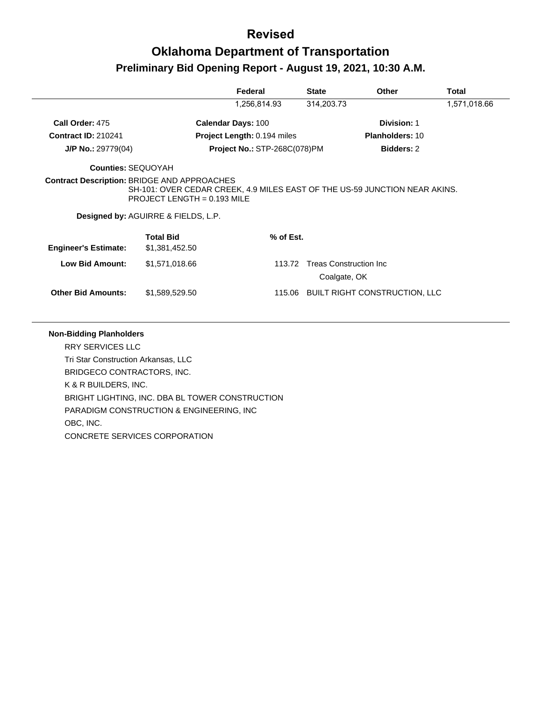# **Oklahoma Department of Transportation Preliminary Bid Opening Report - August 19, 2021, 10:30 A.M.**

|                             |                                                                                                                                                               | Federal                             | <b>State</b>                                   | <b>Other</b>           | Total        |
|-----------------------------|---------------------------------------------------------------------------------------------------------------------------------------------------------------|-------------------------------------|------------------------------------------------|------------------------|--------------|
|                             |                                                                                                                                                               | 1,256,814.93                        | 314,203.73                                     |                        | 1,571,018.66 |
| Call Order: 475             |                                                                                                                                                               | <b>Calendar Days: 100</b>           |                                                | Division: 1            |              |
| <b>Contract ID: 210241</b>  |                                                                                                                                                               | Project Length: 0.194 miles         |                                                | <b>Planholders: 10</b> |              |
| $J/P$ No.: 29779(04)        |                                                                                                                                                               | <b>Project No.: STP-268C(078)PM</b> |                                                | <b>Bidders: 2</b>      |              |
| <b>Counties: SEQUOYAH</b>   |                                                                                                                                                               |                                     |                                                |                        |              |
|                             | SH-101: OVER CEDAR CREEK, 4.9 MILES EAST OF THE US-59 JUNCTION NEAR AKINS.<br>PROJECT LENGTH = $0.193$ MILE<br><b>Designed by: AGUIRRE &amp; FIELDS, L.P.</b> |                                     |                                                |                        |              |
| <b>Engineer's Estimate:</b> | <b>Total Bid</b><br>\$1,381,452.50                                                                                                                            | % of Est.                           |                                                |                        |              |
| <b>Low Bid Amount:</b>      | \$1,571,018.66                                                                                                                                                | 113.72                              | <b>Treas Construction Inc.</b><br>Coalgate, OK |                        |              |
|                             |                                                                                                                                                               |                                     |                                                |                        |              |

#### **Non-Bidding Planholders**

RRY SERVICES LLC Tri Star Construction Arkansas, LLC BRIDGECO CONTRACTORS, INC. K & R BUILDERS, INC. BRIGHT LIGHTING, INC. DBA BL TOWER CONSTRUCTION PARADIGM CONSTRUCTION & ENGINEERING, INC OBC, INC. CONCRETE SERVICES CORPORATION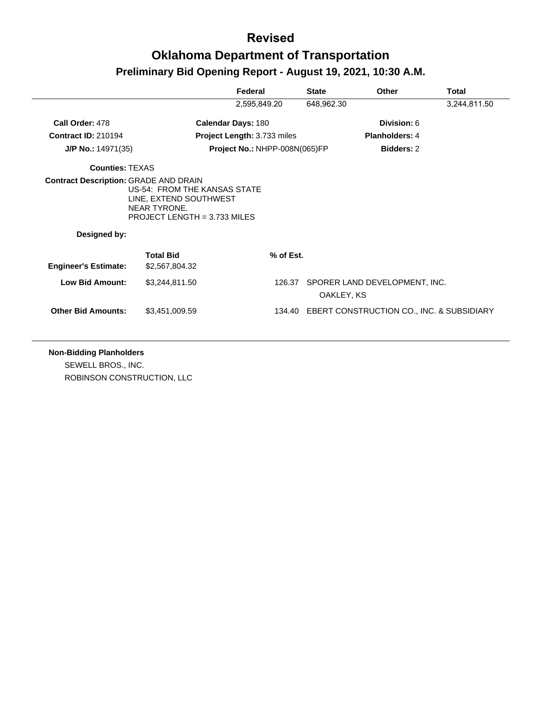|                                                              |                                                                                                          | Federal                            | <b>State</b> | Other                                            | Total        |
|--------------------------------------------------------------|----------------------------------------------------------------------------------------------------------|------------------------------------|--------------|--------------------------------------------------|--------------|
|                                                              |                                                                                                          | 2,595,849.20                       | 648,962.30   |                                                  | 3,244,811.50 |
| Call Order: 478                                              |                                                                                                          | <b>Calendar Days: 180</b>          |              | Division: 6                                      |              |
| <b>Contract ID: 210194</b>                                   |                                                                                                          | <b>Project Length: 3.733 miles</b> |              | Planholders: 4                                   |              |
| $J/P$ No.: 14971(35)                                         |                                                                                                          | Project No.: NHPP-008N(065)FP      |              | <b>Bidders: 2</b>                                |              |
| <b>Counties: TEXAS</b>                                       |                                                                                                          |                                    |              |                                                  |              |
| <b>Contract Description: GRADE AND DRAIN</b><br>Designed by: | US-54: FROM THE KANSAS STATE<br>LINE, EXTEND SOUTHWEST<br>NEAR TYRONE.<br>PROJECT LENGTH = $3.733$ MILES |                                    |              |                                                  |              |
| <b>Engineer's Estimate:</b>                                  | <b>Total Bid</b><br>\$2,567,804.32                                                                       | % of Est.                          |              |                                                  |              |
|                                                              |                                                                                                          |                                    |              |                                                  |              |
| <b>Low Bid Amount:</b>                                       | \$3,244,811.50                                                                                           | 126.37                             | OAKLEY, KS   | SPORER LAND DEVELOPMENT, INC.                    |              |
| <b>Other Bid Amounts:</b>                                    | \$3,451,009.59                                                                                           |                                    |              | 134.40 EBERT CONSTRUCTION CO., INC. & SUBSIDIARY |              |

#### **Non-Bidding Planholders**

SEWELL BROS., INC. ROBINSON CONSTRUCTION, LLC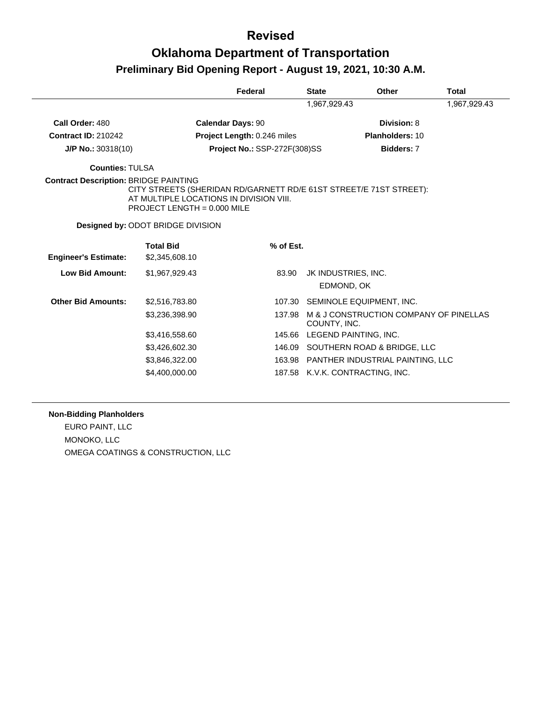# **Oklahoma Department of Transportation Preliminary Bid Opening Report - August 19, 2021, 10:30 A.M.**

|                                              |                                                                                                                                              | Federal                             | <b>State</b> | Other                                   | Total |
|----------------------------------------------|----------------------------------------------------------------------------------------------------------------------------------------------|-------------------------------------|--------------|-----------------------------------------|-------|
|                                              |                                                                                                                                              | 1,967,929.43                        |              |                                         |       |
| Call Order: 480                              | <b>Calendar Days: 90</b>                                                                                                                     |                                     |              | Division: 8                             |       |
| <b>Contract ID: 210242</b>                   |                                                                                                                                              | Project Length: 0.246 miles         |              | Planholders: 10                         |       |
| $J/P$ No.: 30318(10)                         |                                                                                                                                              | <b>Project No.: SSP-272F(308)SS</b> |              | <b>Bidders: 7</b>                       |       |
| <b>Counties: TULSA</b>                       |                                                                                                                                              |                                     |              |                                         |       |
| <b>Contract Description: BRIDGE PAINTING</b> | CITY STREETS (SHERIDAN RD/GARNETT RD/E 61ST STREET/E 71ST STREET):<br>AT MULTIPLE LOCATIONS IN DIVISION VIII.<br>PROJECT LENGTH = 0.000 MILE |                                     |              |                                         |       |
|                                              | Designed by: ODOT BRIDGE DIVISION                                                                                                            |                                     |              |                                         |       |
|                                              | <b>Total Bid</b>                                                                                                                             | % of Est.                           |              |                                         |       |
| <b>Engineer's Estimate:</b>                  | \$2,345,608.10                                                                                                                               |                                     |              |                                         |       |
| <b>Low Bid Amount:</b>                       | \$1,967,929.43                                                                                                                               | 83.90                               |              | JK INDUSTRIES, INC.                     |       |
|                                              |                                                                                                                                              |                                     |              | EDMOND, OK                              |       |
| <b>Other Bid Amounts:</b>                    | \$2,516,783.80                                                                                                                               | 107.30                              |              | SEMINOLE EQUIPMENT, INC.                |       |
|                                              | \$3,236,398.90                                                                                                                               | 137.98                              | COUNTY, INC. | M & J CONSTRUCTION COMPANY OF PINELLAS  |       |
|                                              | \$3,416,558.60                                                                                                                               |                                     |              | 145.66 LEGEND PAINTING, INC.            |       |
|                                              | \$3,426,602.30                                                                                                                               |                                     |              | 146.09 SOUTHERN ROAD & BRIDGE, LLC      |       |
|                                              | \$3,846,322.00                                                                                                                               |                                     |              | 163.98 PANTHER INDUSTRIAL PAINTING, LLC |       |
|                                              | \$4,400,000.00                                                                                                                               | 187.58                              |              | K.V.K. CONTRACTING, INC.                |       |

#### **Non-Bidding Planholders**

EURO PAINT, LLC MONOKO, LLC OMEGA COATINGS & CONSTRUCTION, LLC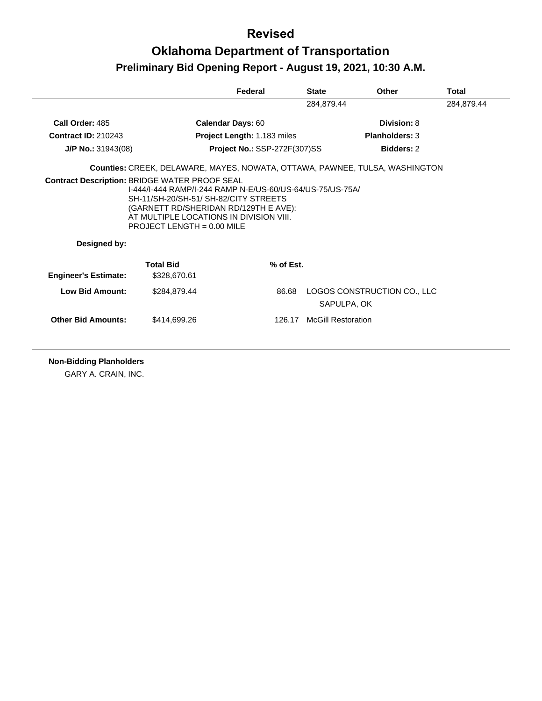# **Oklahoma Department of Transportation Preliminary Bid Opening Report - August 19, 2021, 10:30 A.M.**

|                             |                                                                                                                                                                                                                        | Federal                             | <b>State</b>              | Other                                      | Total      |
|-----------------------------|------------------------------------------------------------------------------------------------------------------------------------------------------------------------------------------------------------------------|-------------------------------------|---------------------------|--------------------------------------------|------------|
|                             |                                                                                                                                                                                                                        |                                     | 284,879.44                |                                            | 284,879.44 |
| Call Order: 485             | <b>Calendar Days: 60</b>                                                                                                                                                                                               |                                     |                           | Division: 8                                |            |
| <b>Contract ID: 210243</b>  |                                                                                                                                                                                                                        | Project Length: 1.183 miles         |                           | <b>Planholders: 3</b>                      |            |
| $J/P$ No.: 31943(08)        |                                                                                                                                                                                                                        | <b>Project No.: SSP-272F(307)SS</b> |                           | <b>Bidders: 2</b>                          |            |
|                             | Counties: CREEK, DELAWARE, MAYES, NOWATA, OTTAWA, PAWNEE, TULSA, WASHINGTON                                                                                                                                            |                                     |                           |                                            |            |
| Designed by:                | 1-444/1-444 RAMP/1-244 RAMP N-E/US-60/US-64/US-75/US-75A/<br>SH-11/SH-20/SH-51/ SH-82/CITY STREETS<br>(GARNETT RD/SHERIDAN RD/129TH E AVE):<br>AT MULTIPLE LOCATIONS IN DIVISION VIII.<br>PROJECT LENGTH = $0.00$ MILE |                                     |                           |                                            |            |
|                             | <b>Total Bid</b>                                                                                                                                                                                                       | % of Est.                           |                           |                                            |            |
| <b>Engineer's Estimate:</b> | \$328,670.61                                                                                                                                                                                                           |                                     |                           |                                            |            |
| Low Bid Amount:             | \$284.879.44                                                                                                                                                                                                           | 86.68                               |                           | LOGOS CONSTRUCTION CO., LLC<br>SAPULPA, OK |            |
| <b>Other Bid Amounts:</b>   | \$414,699,26                                                                                                                                                                                                           |                                     | 126.17 McGill Restoration |                                            |            |
|                             |                                                                                                                                                                                                                        |                                     |                           |                                            |            |

**Non-Bidding Planholders**

GARY A. CRAIN, INC.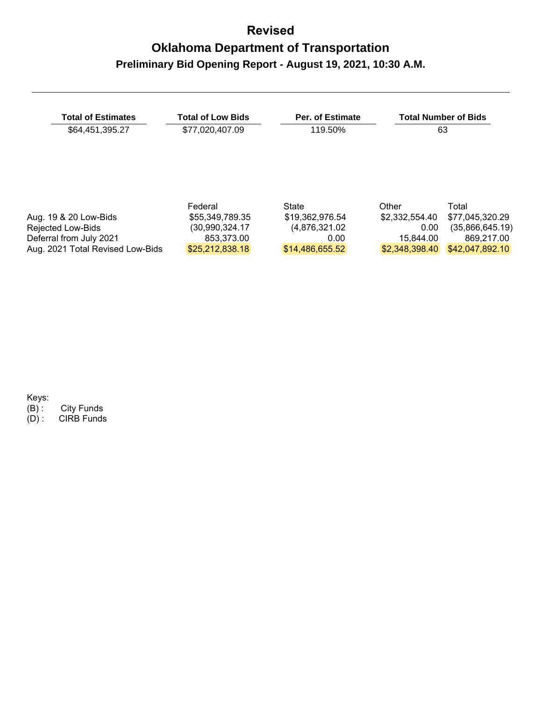| <b>Total of Estimates</b>        | <b>Total of Low Bids</b> | Per. of Estimate |                | <b>Total Number of Bids</b> |
|----------------------------------|--------------------------|------------------|----------------|-----------------------------|
| \$64,451,395.27                  | \$77,020,407.09          | 119.50%          |                | 63                          |
|                                  |                          |                  |                |                             |
|                                  | Federal                  | State            | Other          | Total                       |
| Aug. 19 & 20 Low-Bids            | \$55,349,789.35          | \$19,362,976.54  | \$2.332.554.40 | \$77,045,320.29             |
| Rejected Low-Bids                | (30,990,324.17           | (4,876,321.02)   | 0.00           | (35,866,645.19)             |
| Deferral from July 2021          | 853,373.00               | 0.00             | 15.844.00      | 869.217.00                  |
| Aug. 2021 Total Revised Low-Bids | \$25,212,838.18          | \$14.486.655.52  | \$2.348.398.40 | \$42,047,892,10             |

Keys:<br>(B) :<br>(D) : (B) : City Funds

(D) : CIRB Funds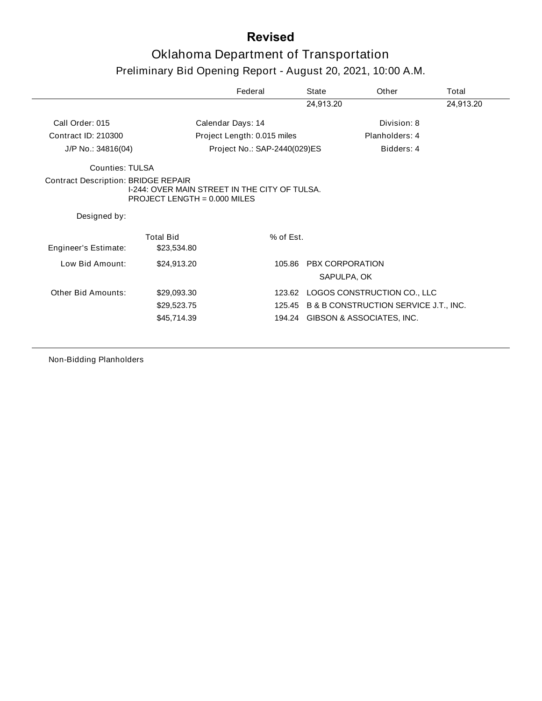# Oklahoma Department of Transportation Preliminary Bid Opening Report - August 20, 2021, 10:00 A.M.

|                                            |                                                                                 | Federal                      | State                          | Other                                        | Total     |
|--------------------------------------------|---------------------------------------------------------------------------------|------------------------------|--------------------------------|----------------------------------------------|-----------|
|                                            |                                                                                 |                              | 24,913.20                      |                                              | 24,913.20 |
| Call Order: 015                            |                                                                                 | Calendar Days: 14            |                                | Division: 8                                  |           |
| Contract ID: 210300                        |                                                                                 | Project Length: 0.015 miles  |                                | Planholders: 4                               |           |
| J/P No.: 34816(04)                         |                                                                                 | Project No.: SAP-2440(029)ES |                                | Bidders: 4                                   |           |
| Counties: TULSA                            |                                                                                 |                              |                                |                                              |           |
| <b>Contract Description: BRIDGE REPAIR</b> | I-244: OVER MAIN STREET IN THE CITY OF TULSA.<br>PROJECT LENGTH = $0.000$ MILES |                              |                                |                                              |           |
| Designed by:                               |                                                                                 |                              |                                |                                              |           |
| Engineer's Estimate:                       | <b>Total Bid</b><br>\$23,534.80                                                 | % of Est.                    |                                |                                              |           |
| Low Bid Amount:                            | \$24,913.20                                                                     | 105.86                       | PBX CORPORATION<br>SAPULPA, OK |                                              |           |
| Other Bid Amounts:                         | \$29,093.30                                                                     |                              |                                | 123.62 LOGOS CONSTRUCTION CO., LLC           |           |
|                                            | \$29,523.75                                                                     |                              |                                | 125.45 B & B CONSTRUCTION SERVICE J.T., INC. |           |
|                                            | \$45,714.39                                                                     |                              |                                | 194.24 GIBSON & ASSOCIATES, INC.             |           |
|                                            |                                                                                 |                              |                                |                                              |           |

Non-Bidding Planholders